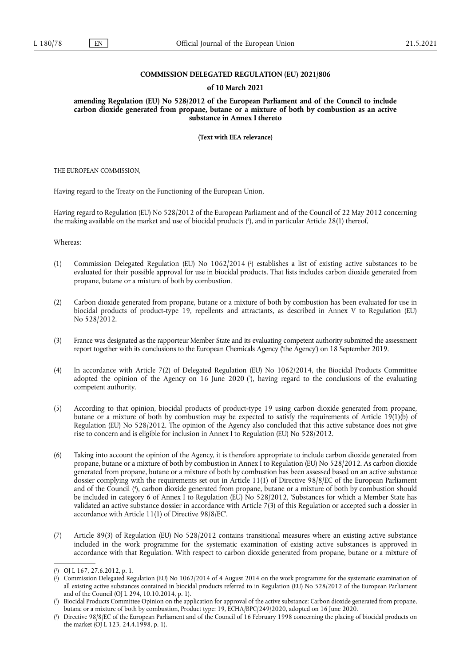## **COMMISSION DELEGATED REGULATION (EU) 2021/806**

#### **of 10 March 2021**

**amending Regulation (EU) No 528/2012 of the European Parliament and of the Council to include carbon dioxide generated from propane, butane or a mixture of both by combustion as an active substance in Annex I thereto** 

**(Text with EEA relevance)** 

THE EUROPEAN COMMISSION,

Having regard to the Treaty on the Functioning of the European Union,

<span id="page-0-4"></span>Having regard to Regulation (EU) No 528/2012 of the European Parliament and of the Council of 22 May 2012 concerning the making available on the market and use of biocidal products [\(](#page-0-0) 1 ), and in particular Article 28(1) thereof,

Whereas:

- <span id="page-0-5"></span>(1) Commission Delegated Regulation (EU) No 1062/2014 [\(](#page-0-1) 2 ) establishes a list of existing active substances to be evaluated for their possible approval for use in biocidal products. That lists includes carbon dioxide generated from propane, butane or a mixture of both by combustion.
- (2) Carbon dioxide generated from propane, butane or a mixture of both by combustion has been evaluated for use in biocidal products of product-type 19, repellents and attractants, as described in Annex V to Regulation (EU) No 528/2012.
- (3) France was designated as the rapporteur Member State and its evaluating competent authority submitted the assessment report together with its conclusions to the European Chemicals Agency ('the Agency') on 18 September 2019.
- <span id="page-0-6"></span>(4) In accordance with Article 7(2) of Delegated Regulation (EU) No 1062/2014, the Biocidal Products Committee adopted the opinion of the Agency on 16 June 2020 ( 3 [\),](#page-0-2) having regard to the conclusions of the evaluating competent authority.
- (5) According to that opinion, biocidal products of product-type 19 using carbon dioxide generated from propane, butane or a mixture of both by combustion may be expected to satisfy the requirements of Article 19(1)(b) of Regulation (EU) No 528/2012. The opinion of the Agency also concluded that this active substance does not give rise to concern and is eligible for inclusion in Annex I to Regulation (EU) No 528/2012.
- <span id="page-0-7"></span>(6) Taking into account the opinion of the Agency, it is therefore appropriate to include carbon dioxide generated from propane, butane or a mixture of both by combustion in Annex I to Regulation (EU) No 528/2012. As carbon dioxide generated from propane, butane or a mixture of both by combustion has been assessed based on an active substance dossier complying with the requirements set out in Article 11(1) of Directive 98/8/EC of the European Parliament and of the Council ( 4 [\),](#page-0-3) carbon dioxide generated from propane, butane or a mixture of both by combustion should be included in category 6 of Annex I to Regulation (EU) No 528/2012, 'Substances for which a Member State has validated an active substance dossier in accordance with Article 7(3) of this Regulation or accepted such a dossier in accordance with Article 11(1) of Directive 98/8/EC'.
- (7) Article 89(3) of Regulation (EU) No 528/2012 contains transitional measures where an existing active substance included in the work programme for the systematic examination of existing active substances is approved in accordance with that Regulation. With respect to carbon dioxide generated from propane, butane or a mixture of

<span id="page-0-0"></span>[<sup>\(</sup>](#page-0-4) 1 ) OJ L 167, 27.6.2012, p. 1.

<span id="page-0-1"></span>[<sup>\(</sup>](#page-0-5) 2 ) Commission Delegated Regulation (EU) No 1062/2014 of 4 August 2014 on the work programme for the systematic examination of all existing active substances contained in biocidal products referred to in Regulation (EU) No 528/2012 of the European Parliament and of the Council (OJ L 294, 10.10.2014, p. 1).

<span id="page-0-2"></span>[<sup>\(</sup>](#page-0-6) 3 ) Biocidal Products Committee Opinion on the application for approval of the active substance: Carbon dioxide generated from propane, butane or a mixture of both by combustion, Product type: 19, ECHA/BPC/249/2020, adopted on 16 June 2020.

<span id="page-0-3"></span>[<sup>\(</sup>](#page-0-7) 4 ) Directive 98/8/EC of the European Parliament and of the Council of 16 February 1998 concerning the placing of biocidal products on the market (OJ L 123, 24.4.1998, p. 1).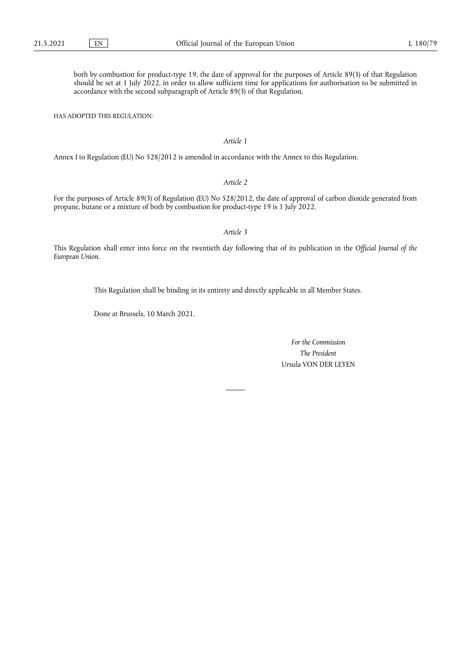both by combustion for product-type 19, the date of approval for the purposes of Article 89(3) of that Regulation should be set at 1 July 2022, in order to allow sufficient time for applications for authorisation to be submitted in accordance with the second subparagraph of Article 89(3) of that Regulation,

HAS ADOPTED THIS REGULATION:

### *Article 1*

Annex I to Regulation (EU) No 528/2012 is amended in accordance with the Annex to this Regulation.

# *Article 2*

For the purposes of Article 89(3) of Regulation (EU) No 528/2012, the date of approval of carbon dioxide generated from propane, butane or a mixture of both by combustion for product-type 19 is 1 July 2022.

### *Article 3*

This Regulation shall enter into force on the twentieth day following that of its publication in the *Official Journal of the European Union*.

This Regulation shall be binding in its entirety and directly applicable in all Member States.

Done at Brussels, 10 March 2021.

*For the Commission The President* Ursula VON DER LEYEN